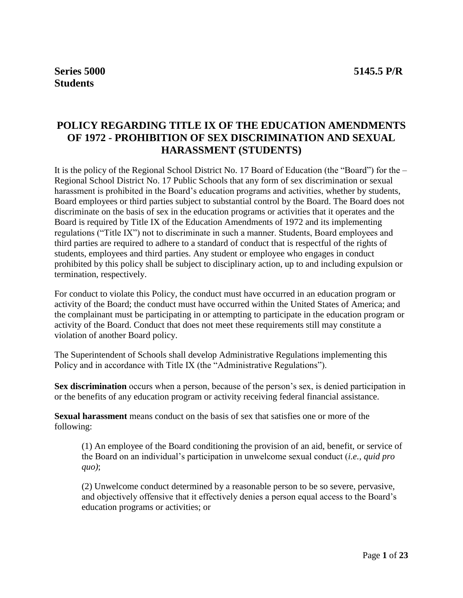# **POLICY REGARDING TITLE IX OF THE EDUCATION AMENDMENTS OF 1972 - PROHIBITION OF SEX DISCRIMINATION AND SEXUAL HARASSMENT (STUDENTS)**

It is the policy of the Regional School District No. 17 Board of Education (the "Board") for the – Regional School District No. 17 Public Schools that any form of sex discrimination or sexual harassment is prohibited in the Board's education programs and activities, whether by students, Board employees or third parties subject to substantial control by the Board. The Board does not discriminate on the basis of sex in the education programs or activities that it operates and the Board is required by Title IX of the Education Amendments of 1972 and its implementing regulations ("Title IX") not to discriminate in such a manner. Students, Board employees and third parties are required to adhere to a standard of conduct that is respectful of the rights of students, employees and third parties. Any student or employee who engages in conduct prohibited by this policy shall be subject to disciplinary action, up to and including expulsion or termination, respectively.

For conduct to violate this Policy, the conduct must have occurred in an education program or activity of the Board; the conduct must have occurred within the United States of America; and the complainant must be participating in or attempting to participate in the education program or activity of the Board. Conduct that does not meet these requirements still may constitute a violation of another Board policy.

The Superintendent of Schools shall develop Administrative Regulations implementing this Policy and in accordance with Title IX (the "Administrative Regulations").

**Sex discrimination** occurs when a person, because of the person's sex, is denied participation in or the benefits of any education program or activity receiving federal financial assistance.

**Sexual harassment** means conduct on the basis of sex that satisfies one or more of the following:

(1) An employee of the Board conditioning the provision of an aid, benefit, or service of the Board on an individual's participation in unwelcome sexual conduct (*i.e.*, *quid pro quo)*;

(2) Unwelcome conduct determined by a reasonable person to be so severe, pervasive, and objectively offensive that it effectively denies a person equal access to the Board's education programs or activities; or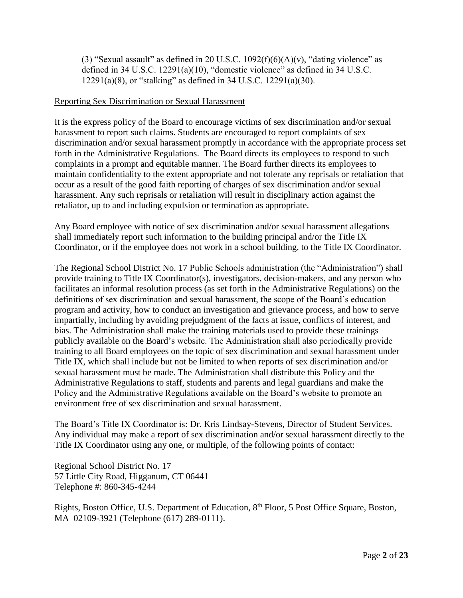(3) "Sexual assault" as defined in 20 U.S.C.  $1092(f)(6)(A)(v)$ , "dating violence" as defined in 34 U.S.C. 12291(a)(10), "domestic violence" as defined in 34 U.S.C. 12291(a)(8), or "stalking" as defined in 34 U.S.C. 12291(a)(30).

#### Reporting Sex Discrimination or Sexual Harassment

It is the express policy of the Board to encourage victims of sex discrimination and/or sexual harassment to report such claims. Students are encouraged to report complaints of sex discrimination and/or sexual harassment promptly in accordance with the appropriate process set forth in the Administrative Regulations. The Board directs its employees to respond to such complaints in a prompt and equitable manner. The Board further directs its employees to maintain confidentiality to the extent appropriate and not tolerate any reprisals or retaliation that occur as a result of the good faith reporting of charges of sex discrimination and/or sexual harassment. Any such reprisals or retaliation will result in disciplinary action against the retaliator, up to and including expulsion or termination as appropriate.

Any Board employee with notice of sex discrimination and/or sexual harassment allegations shall immediately report such information to the building principal and/or the Title IX Coordinator, or if the employee does not work in a school building, to the Title IX Coordinator.

The Regional School District No. 17 Public Schools administration (the "Administration") shall provide training to Title IX Coordinator(s), investigators, decision-makers, and any person who facilitates an informal resolution process (as set forth in the Administrative Regulations) on the definitions of sex discrimination and sexual harassment, the scope of the Board's education program and activity, how to conduct an investigation and grievance process, and how to serve impartially, including by avoiding prejudgment of the facts at issue, conflicts of interest, and bias. The Administration shall make the training materials used to provide these trainings publicly available on the Board's website. The Administration shall also periodically provide training to all Board employees on the topic of sex discrimination and sexual harassment under Title IX, which shall include but not be limited to when reports of sex discrimination and/or sexual harassment must be made. The Administration shall distribute this Policy and the Administrative Regulations to staff, students and parents and legal guardians and make the Policy and the Administrative Regulations available on the Board's website to promote an environment free of sex discrimination and sexual harassment.

The Board's Title IX Coordinator is: Dr. Kris Lindsay-Stevens, Director of Student Services. Any individual may make a report of sex discrimination and/or sexual harassment directly to the Title IX Coordinator using any one, or multiple, of the following points of contact:

Regional School District No. 17 57 Little City Road, Higganum, CT 06441 Telephone #: 860-345-4244

Rights, Boston Office, U.S. Department of Education, 8th Floor, 5 Post Office Square, Boston, MA 02109-3921 (Telephone (617) 289-0111).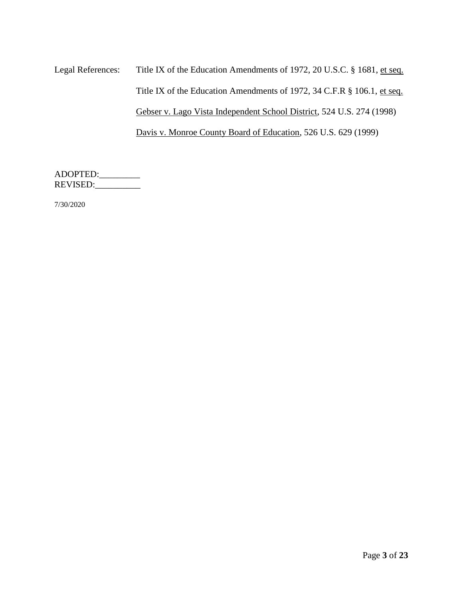Legal References: Title IX of the Education Amendments of 1972, 20 U.S.C. § 1681, et seq. Title IX of the Education Amendments of 1972, 34 C.F.R § 106.1, et seq. Gebser v. Lago Vista Independent School District, 524 U.S. 274 (1998) Davis v. Monroe County Board of Education, 526 U.S. 629 (1999)

ADOPTED:\_\_\_\_\_\_\_\_\_ REVISED:

7/30/2020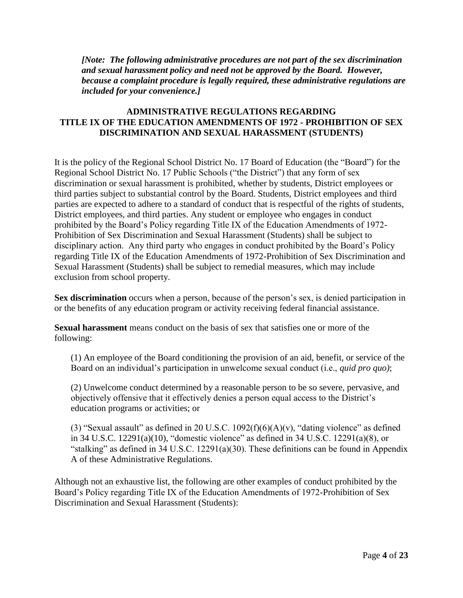*[Note: The following administrative procedures are not part of the sex discrimination and sexual harassment policy and need not be approved by the Board. However, because a complaint procedure is legally required, these administrative regulations are included for your convenience.]*

## **ADMINISTRATIVE REGULATIONS REGARDING TITLE IX OF THE EDUCATION AMENDMENTS OF 1972 - PROHIBITION OF SEX DISCRIMINATION AND SEXUAL HARASSMENT (STUDENTS)**

It is the policy of the Regional School District No. 17 Board of Education (the "Board") for the Regional School District No. 17 Public Schools ("the District") that any form of sex discrimination or sexual harassment is prohibited, whether by students, District employees or third parties subject to substantial control by the Board. Students, District employees and third parties are expected to adhere to a standard of conduct that is respectful of the rights of students, District employees, and third parties. Any student or employee who engages in conduct prohibited by the Board's Policy regarding Title IX of the Education Amendments of 1972- Prohibition of Sex Discrimination and Sexual Harassment (Students) shall be subject to disciplinary action. Any third party who engages in conduct prohibited by the Board's Policy regarding Title IX of the Education Amendments of 1972-Prohibition of Sex Discrimination and Sexual Harassment (Students) shall be subject to remedial measures, which may include exclusion from school property.

**Sex discrimination** occurs when a person, because of the person's sex, is denied participation in or the benefits of any education program or activity receiving federal financial assistance.

**Sexual harassment** means conduct on the basis of sex that satisfies one or more of the following:

(1) An employee of the Board conditioning the provision of an aid, benefit, or service of the Board on an individual's participation in unwelcome sexual conduct (i.e., *quid pro quo)*;

(2) Unwelcome conduct determined by a reasonable person to be so severe, pervasive, and objectively offensive that it effectively denies a person equal access to the District's education programs or activities; or

(3) "Sexual assault" as defined in 20 U.S.C.  $1092(f)(6)(A)(v)$ , "dating violence" as defined in 34 U.S.C. 12291(a)(10), "domestic violence" as defined in 34 U.S.C. 12291(a)(8), or "stalking" as defined in 34 U.S.C. 12291(a)(30). These definitions can be found in Appendix A of these Administrative Regulations.

Although not an exhaustive list, the following are other examples of conduct prohibited by the Board's Policy regarding Title IX of the Education Amendments of 1972-Prohibition of Sex Discrimination and Sexual Harassment (Students):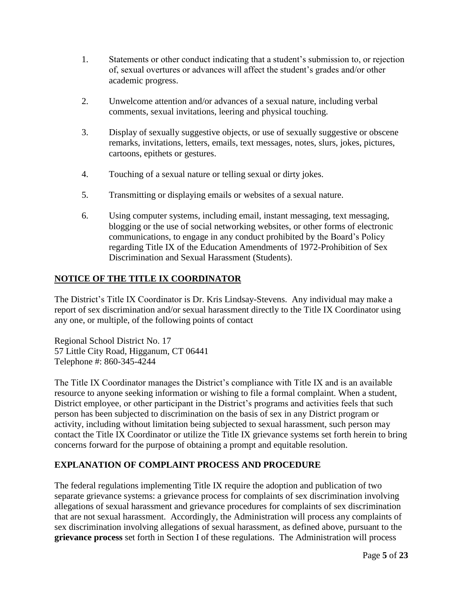- 1. Statements or other conduct indicating that a student's submission to, or rejection of, sexual overtures or advances will affect the student's grades and/or other academic progress.
- 2. Unwelcome attention and/or advances of a sexual nature, including verbal comments, sexual invitations, leering and physical touching.
- 3. Display of sexually suggestive objects, or use of sexually suggestive or obscene remarks, invitations, letters, emails, text messages, notes, slurs, jokes, pictures, cartoons, epithets or gestures.
- 4. Touching of a sexual nature or telling sexual or dirty jokes.
- 5. Transmitting or displaying emails or websites of a sexual nature.
- 6. Using computer systems, including email, instant messaging, text messaging, blogging or the use of social networking websites, or other forms of electronic communications, to engage in any conduct prohibited by the Board's Policy regarding Title IX of the Education Amendments of 1972-Prohibition of Sex Discrimination and Sexual Harassment (Students).

# **NOTICE OF THE TITLE IX COORDINATOR**

The District's Title IX Coordinator is Dr. Kris Lindsay-Stevens. Any individual may make a report of sex discrimination and/or sexual harassment directly to the Title IX Coordinator using any one, or multiple, of the following points of contact

Regional School District No. 17 57 Little City Road, Higganum, CT 06441 Telephone #: 860-345-4244

The Title IX Coordinator manages the District's compliance with Title IX and is an available resource to anyone seeking information or wishing to file a formal complaint. When a student, District employee, or other participant in the District's programs and activities feels that such person has been subjected to discrimination on the basis of sex in any District program or activity, including without limitation being subjected to sexual harassment, such person may contact the Title IX Coordinator or utilize the Title IX grievance systems set forth herein to bring concerns forward for the purpose of obtaining a prompt and equitable resolution.

## **EXPLANATION OF COMPLAINT PROCESS AND PROCEDURE**

The federal regulations implementing Title IX require the adoption and publication of two separate grievance systems: a grievance process for complaints of sex discrimination involving allegations of sexual harassment and grievance procedures for complaints of sex discrimination that are not sexual harassment. Accordingly, the Administration will process any complaints of sex discrimination involving allegations of sexual harassment, as defined above, pursuant to the **grievance process** set forth in Section I of these regulations. The Administration will process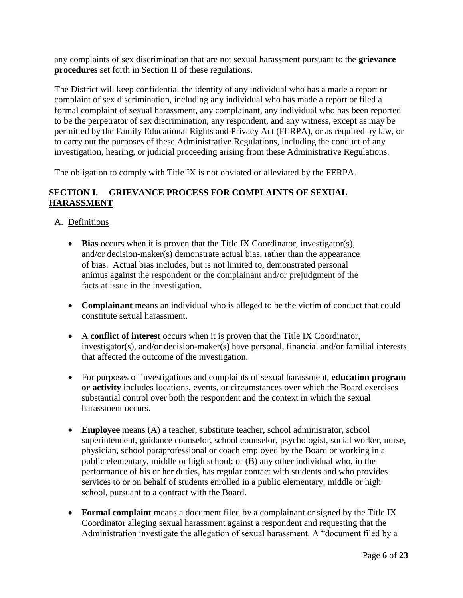any complaints of sex discrimination that are not sexual harassment pursuant to the **grievance procedures** set forth in Section II of these regulations.

The District will keep confidential the identity of any individual who has a made a report or complaint of sex discrimination, including any individual who has made a report or filed a formal complaint of sexual harassment, any complainant, any individual who has been reported to be the perpetrator of sex discrimination, any respondent, and any witness, except as may be permitted by the Family Educational Rights and Privacy Act (FERPA), or as required by law, or to carry out the purposes of these Administrative Regulations, including the conduct of any investigation, hearing, or judicial proceeding arising from these Administrative Regulations.

The obligation to comply with Title IX is not obviated or alleviated by the FERPA.

## **SECTION I. GRIEVANCE PROCESS FOR COMPLAINTS OF SEXUAL HARASSMENT**

A. Definitions

- **Bias** occurs when it is proven that the Title IX Coordinator, investigator(s), and/or decision-maker(s) demonstrate actual bias, rather than the appearance of bias. Actual bias includes, but is not limited to, demonstrated personal animus against the respondent or the complainant and/or prejudgment of the facts at issue in the investigation.
- **Complainant** means an individual who is alleged to be the victim of conduct that could constitute sexual harassment.
- A **conflict of interest** occurs when it is proven that the Title IX Coordinator, investigator(s), and/or decision-maker(s) have personal, financial and/or familial interests that affected the outcome of the investigation.
- For purposes of investigations and complaints of sexual harassment, **education program or activity** includes locations, events, or circumstances over which the Board exercises substantial control over both the respondent and the context in which the sexual harassment occurs.
- **Employee** means (A) a teacher, substitute teacher, school administrator, school superintendent, guidance counselor, school counselor, psychologist, social worker, nurse, physician, school paraprofessional or coach employed by the Board or working in a public elementary, middle or high school; or (B) any other individual who, in the performance of his or her duties, has regular contact with students and who provides services to or on behalf of students enrolled in a public elementary, middle or high school, pursuant to a contract with the Board.
- **Formal complaint** means a document filed by a complainant or signed by the Title IX Coordinator alleging sexual harassment against a respondent and requesting that the Administration investigate the allegation of sexual harassment. A "document filed by a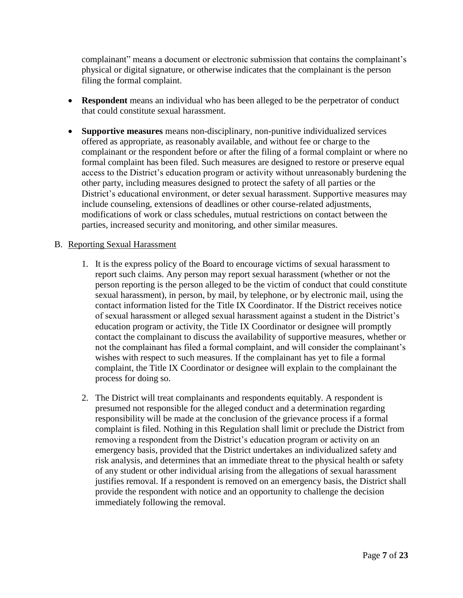complainant" means a document or electronic submission that contains the complainant's physical or digital signature, or otherwise indicates that the complainant is the person filing the formal complaint.

- **Respondent** means an individual who has been alleged to be the perpetrator of conduct that could constitute sexual harassment.
- **Supportive measures** means non-disciplinary, non-punitive individualized services offered as appropriate, as reasonably available, and without fee or charge to the complainant or the respondent before or after the filing of a formal complaint or where no formal complaint has been filed. Such measures are designed to restore or preserve equal access to the District's education program or activity without unreasonably burdening the other party, including measures designed to protect the safety of all parties or the District's educational environment, or deter sexual harassment. Supportive measures may include counseling, extensions of deadlines or other course-related adjustments, modifications of work or class schedules, mutual restrictions on contact between the parties, increased security and monitoring, and other similar measures.

#### B. Reporting Sexual Harassment

- 1. It is the express policy of the Board to encourage victims of sexual harassment to report such claims. Any person may report sexual harassment (whether or not the person reporting is the person alleged to be the victim of conduct that could constitute sexual harassment), in person, by mail, by telephone, or by electronic mail, using the contact information listed for the Title IX Coordinator. If the District receives notice of sexual harassment or alleged sexual harassment against a student in the District's education program or activity, the Title IX Coordinator or designee will promptly contact the complainant to discuss the availability of supportive measures, whether or not the complainant has filed a formal complaint, and will consider the complainant's wishes with respect to such measures. If the complainant has yet to file a formal complaint, the Title IX Coordinator or designee will explain to the complainant the process for doing so.
- 2. The District will treat complainants and respondents equitably. A respondent is presumed not responsible for the alleged conduct and a determination regarding responsibility will be made at the conclusion of the grievance process if a formal complaint is filed. Nothing in this Regulation shall limit or preclude the District from removing a respondent from the District's education program or activity on an emergency basis, provided that the District undertakes an individualized safety and risk analysis, and determines that an immediate threat to the physical health or safety of any student or other individual arising from the allegations of sexual harassment justifies removal. If a respondent is removed on an emergency basis, the District shall provide the respondent with notice and an opportunity to challenge the decision immediately following the removal.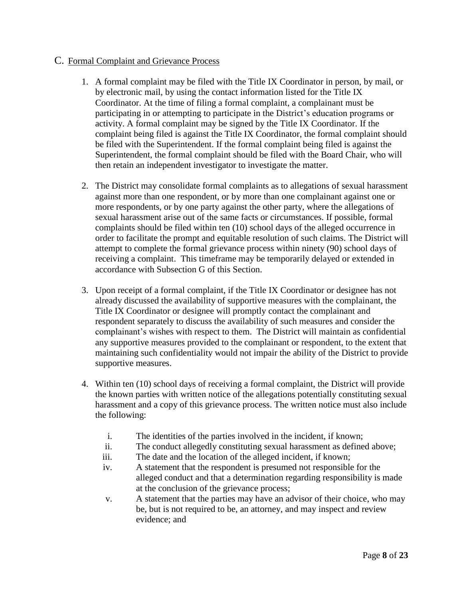## C. Formal Complaint and Grievance Process

- 1. A formal complaint may be filed with the Title IX Coordinator in person, by mail, or by electronic mail, by using the contact information listed for the Title IX Coordinator. At the time of filing a formal complaint, a complainant must be participating in or attempting to participate in the District's education programs or activity. A formal complaint may be signed by the Title IX Coordinator. If the complaint being filed is against the Title IX Coordinator, the formal complaint should be filed with the Superintendent. If the formal complaint being filed is against the Superintendent, the formal complaint should be filed with the Board Chair, who will then retain an independent investigator to investigate the matter.
- 2. The District may consolidate formal complaints as to allegations of sexual harassment against more than one respondent, or by more than one complainant against one or more respondents, or by one party against the other party, where the allegations of sexual harassment arise out of the same facts or circumstances. If possible, formal complaints should be filed within ten (10) school days of the alleged occurrence in order to facilitate the prompt and equitable resolution of such claims. The District will attempt to complete the formal grievance process within ninety (90) school days of receiving a complaint. This timeframe may be temporarily delayed or extended in accordance with Subsection G of this Section.
- 3. Upon receipt of a formal complaint, if the Title IX Coordinator or designee has not already discussed the availability of supportive measures with the complainant, the Title IX Coordinator or designee will promptly contact the complainant and respondent separately to discuss the availability of such measures and consider the complainant's wishes with respect to them. The District will maintain as confidential any supportive measures provided to the complainant or respondent, to the extent that maintaining such confidentiality would not impair the ability of the District to provide supportive measures.
- 4. Within ten (10) school days of receiving a formal complaint, the District will provide the known parties with written notice of the allegations potentially constituting sexual harassment and a copy of this grievance process. The written notice must also include the following:
	- i. The identities of the parties involved in the incident, if known;
	- ii. The conduct allegedly constituting sexual harassment as defined above;
	- iii. The date and the location of the alleged incident, if known;
	- iv. A statement that the respondent is presumed not responsible for the alleged conduct and that a determination regarding responsibility is made at the conclusion of the grievance process;
	- v. A statement that the parties may have an advisor of their choice, who may be, but is not required to be, an attorney, and may inspect and review evidence; and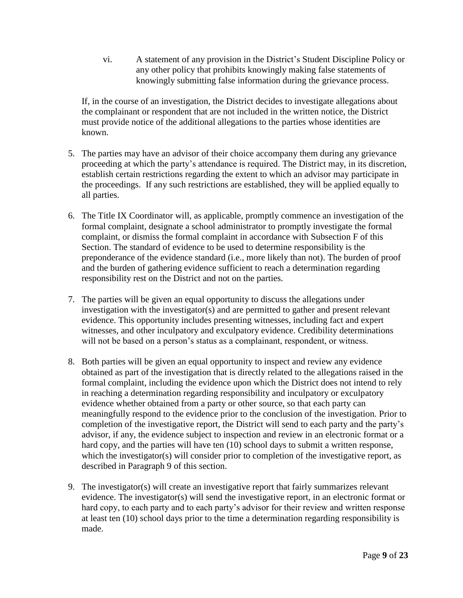vi. A statement of any provision in the District's Student Discipline Policy or any other policy that prohibits knowingly making false statements of knowingly submitting false information during the grievance process.

If, in the course of an investigation, the District decides to investigate allegations about the complainant or respondent that are not included in the written notice, the District must provide notice of the additional allegations to the parties whose identities are known.

- 5. The parties may have an advisor of their choice accompany them during any grievance proceeding at which the party's attendance is required. The District may, in its discretion, establish certain restrictions regarding the extent to which an advisor may participate in the proceedings. If any such restrictions are established, they will be applied equally to all parties.
- 6. The Title IX Coordinator will, as applicable, promptly commence an investigation of the formal complaint, designate a school administrator to promptly investigate the formal complaint, or dismiss the formal complaint in accordance with Subsection F of this Section. The standard of evidence to be used to determine responsibility is the preponderance of the evidence standard (i.e., more likely than not). The burden of proof and the burden of gathering evidence sufficient to reach a determination regarding responsibility rest on the District and not on the parties.
- 7. The parties will be given an equal opportunity to discuss the allegations under investigation with the investigator(s) and are permitted to gather and present relevant evidence. This opportunity includes presenting witnesses, including fact and expert witnesses, and other inculpatory and exculpatory evidence. Credibility determinations will not be based on a person's status as a complainant, respondent, or witness.
- 8. Both parties will be given an equal opportunity to inspect and review any evidence obtained as part of the investigation that is directly related to the allegations raised in the formal complaint, including the evidence upon which the District does not intend to rely in reaching a determination regarding responsibility and inculpatory or exculpatory evidence whether obtained from a party or other source, so that each party can meaningfully respond to the evidence prior to the conclusion of the investigation. Prior to completion of the investigative report, the District will send to each party and the party's advisor, if any, the evidence subject to inspection and review in an electronic format or a hard copy, and the parties will have ten (10) school days to submit a written response, which the investigator(s) will consider prior to completion of the investigative report, as described in Paragraph 9 of this section.
- 9. The investigator(s) will create an investigative report that fairly summarizes relevant evidence. The investigator(s) will send the investigative report, in an electronic format or hard copy, to each party and to each party's advisor for their review and written response at least ten (10) school days prior to the time a determination regarding responsibility is made.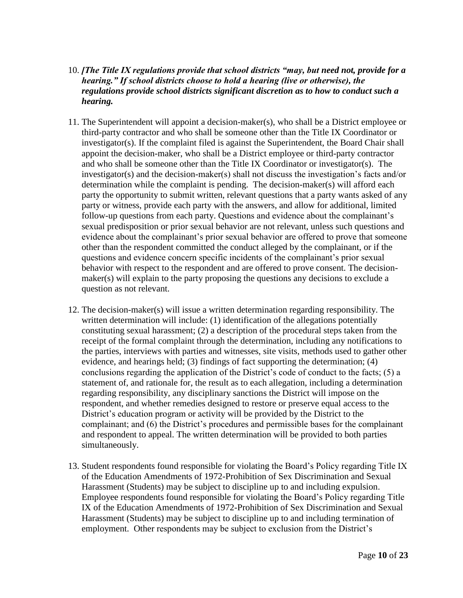## 10. *[The Title IX regulations provide that school districts "may, but need not, provide for a hearing." If school districts choose to hold a hearing (live or otherwise), the regulations provide school districts significant discretion as to how to conduct such a hearing.*

- 11. The Superintendent will appoint a decision-maker(s), who shall be a District employee or third-party contractor and who shall be someone other than the Title IX Coordinator or investigator(s). If the complaint filed is against the Superintendent, the Board Chair shall appoint the decision-maker, who shall be a District employee or third-party contractor and who shall be someone other than the Title IX Coordinator or investigator(s). The investigator(s) and the decision-maker(s) shall not discuss the investigation's facts and/or determination while the complaint is pending. The decision-maker(s) will afford each party the opportunity to submit written, relevant questions that a party wants asked of any party or witness, provide each party with the answers, and allow for additional, limited follow-up questions from each party. Questions and evidence about the complainant's sexual predisposition or prior sexual behavior are not relevant, unless such questions and evidence about the complainant's prior sexual behavior are offered to prove that someone other than the respondent committed the conduct alleged by the complainant, or if the questions and evidence concern specific incidents of the complainant's prior sexual behavior with respect to the respondent and are offered to prove consent. The decisionmaker(s) will explain to the party proposing the questions any decisions to exclude a question as not relevant.
- 12. The decision-maker(s) will issue a written determination regarding responsibility. The written determination will include: (1) identification of the allegations potentially constituting sexual harassment; (2) a description of the procedural steps taken from the receipt of the formal complaint through the determination, including any notifications to the parties, interviews with parties and witnesses, site visits, methods used to gather other evidence, and hearings held; (3) findings of fact supporting the determination; (4) conclusions regarding the application of the District's code of conduct to the facts; (5) a statement of, and rationale for, the result as to each allegation, including a determination regarding responsibility, any disciplinary sanctions the District will impose on the respondent, and whether remedies designed to restore or preserve equal access to the District's education program or activity will be provided by the District to the complainant; and (6) the District's procedures and permissible bases for the complainant and respondent to appeal. The written determination will be provided to both parties simultaneously.
- 13. Student respondents found responsible for violating the Board's Policy regarding Title IX of the Education Amendments of 1972-Prohibition of Sex Discrimination and Sexual Harassment (Students) may be subject to discipline up to and including expulsion. Employee respondents found responsible for violating the Board's Policy regarding Title IX of the Education Amendments of 1972-Prohibition of Sex Discrimination and Sexual Harassment (Students) may be subject to discipline up to and including termination of employment. Other respondents may be subject to exclusion from the District's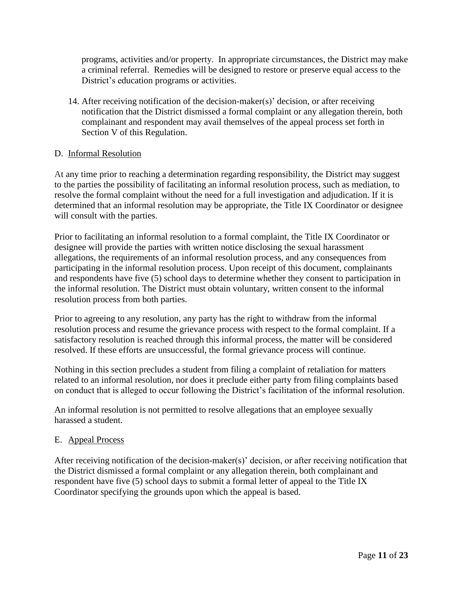programs, activities and/or property. In appropriate circumstances, the District may make a criminal referral. Remedies will be designed to restore or preserve equal access to the District's education programs or activities.

14. After receiving notification of the decision-maker(s)' decision, or after receiving notification that the District dismissed a formal complaint or any allegation therein, both complainant and respondent may avail themselves of the appeal process set forth in Section V of this Regulation.

## D. Informal Resolution

At any time prior to reaching a determination regarding responsibility, the District may suggest to the parties the possibility of facilitating an informal resolution process, such as mediation, to resolve the formal complaint without the need for a full investigation and adjudication. If it is determined that an informal resolution may be appropriate, the Title IX Coordinator or designee will consult with the parties.

Prior to facilitating an informal resolution to a formal complaint, the Title IX Coordinator or designee will provide the parties with written notice disclosing the sexual harassment allegations, the requirements of an informal resolution process, and any consequences from participating in the informal resolution process. Upon receipt of this document, complainants and respondents have five (5) school days to determine whether they consent to participation in the informal resolution. The District must obtain voluntary, written consent to the informal resolution process from both parties.

Prior to agreeing to any resolution, any party has the right to withdraw from the informal resolution process and resume the grievance process with respect to the formal complaint. If a satisfactory resolution is reached through this informal process, the matter will be considered resolved. If these efforts are unsuccessful, the formal grievance process will continue.

Nothing in this section precludes a student from filing a complaint of retaliation for matters related to an informal resolution, nor does it preclude either party from filing complaints based on conduct that is alleged to occur following the District's facilitation of the informal resolution.

An informal resolution is not permitted to resolve allegations that an employee sexually harassed a student.

#### E. Appeal Process

After receiving notification of the decision-maker(s)' decision, or after receiving notification that the District dismissed a formal complaint or any allegation therein, both complainant and respondent have five (5) school days to submit a formal letter of appeal to the Title IX Coordinator specifying the grounds upon which the appeal is based.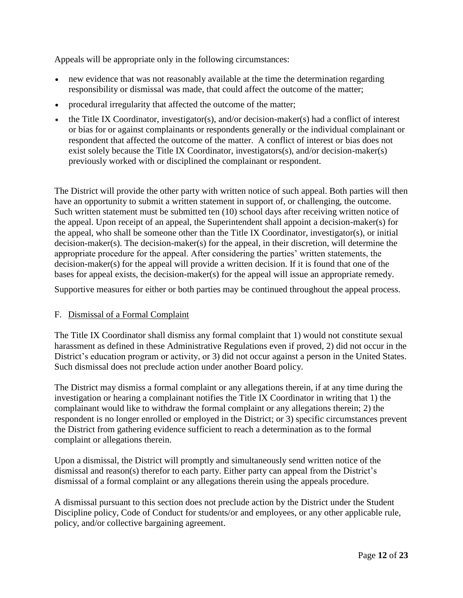Appeals will be appropriate only in the following circumstances:

- new evidence that was not reasonably available at the time the determination regarding responsibility or dismissal was made, that could affect the outcome of the matter;
- procedural irregularity that affected the outcome of the matter;
- the Title IX Coordinator, investigator(s), and/or decision-maker(s) had a conflict of interest or bias for or against complainants or respondents generally or the individual complainant or respondent that affected the outcome of the matter. A conflict of interest or bias does not exist solely because the Title IX Coordinator, investigators(s), and/or decision-maker(s) previously worked with or disciplined the complainant or respondent.

The District will provide the other party with written notice of such appeal. Both parties will then have an opportunity to submit a written statement in support of, or challenging, the outcome. Such written statement must be submitted ten (10) school days after receiving written notice of the appeal. Upon receipt of an appeal, the Superintendent shall appoint a decision-maker(s) for the appeal, who shall be someone other than the Title IX Coordinator, investigator(s), or initial decision-maker(s). The decision-maker(s) for the appeal, in their discretion, will determine the appropriate procedure for the appeal. After considering the parties' written statements, the decision-maker(s) for the appeal will provide a written decision. If it is found that one of the bases for appeal exists, the decision-maker(s) for the appeal will issue an appropriate remedy.

Supportive measures for either or both parties may be continued throughout the appeal process.

#### F. Dismissal of a Formal Complaint

The Title IX Coordinator shall dismiss any formal complaint that 1) would not constitute sexual harassment as defined in these Administrative Regulations even if proved, 2) did not occur in the District's education program or activity, or 3) did not occur against a person in the United States. Such dismissal does not preclude action under another Board policy.

The District may dismiss a formal complaint or any allegations therein, if at any time during the investigation or hearing a complainant notifies the Title IX Coordinator in writing that 1) the complainant would like to withdraw the formal complaint or any allegations therein; 2) the respondent is no longer enrolled or employed in the District; or 3) specific circumstances prevent the District from gathering evidence sufficient to reach a determination as to the formal complaint or allegations therein.

Upon a dismissal, the District will promptly and simultaneously send written notice of the dismissal and reason(s) therefor to each party. Either party can appeal from the District's dismissal of a formal complaint or any allegations therein using the appeals procedure.

A dismissal pursuant to this section does not preclude action by the District under the Student Discipline policy, Code of Conduct for students/or and employees, or any other applicable rule, policy, and/or collective bargaining agreement.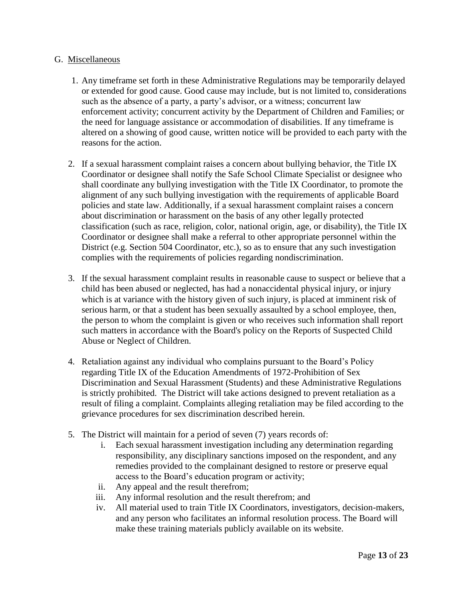#### G. Miscellaneous

- 1. Any timeframe set forth in these Administrative Regulations may be temporarily delayed or extended for good cause. Good cause may include, but is not limited to, considerations such as the absence of a party, a party's advisor, or a witness; concurrent law enforcement activity; concurrent activity by the Department of Children and Families; or the need for language assistance or accommodation of disabilities. If any timeframe is altered on a showing of good cause, written notice will be provided to each party with the reasons for the action.
- 2. If a sexual harassment complaint raises a concern about bullying behavior, the Title IX Coordinator or designee shall notify the Safe School Climate Specialist or designee who shall coordinate any bullying investigation with the Title IX Coordinator, to promote the alignment of any such bullying investigation with the requirements of applicable Board policies and state law. Additionally, if a sexual harassment complaint raises a concern about discrimination or harassment on the basis of any other legally protected classification (such as race, religion, color, national origin, age, or disability), the Title IX Coordinator or designee shall make a referral to other appropriate personnel within the District (e.g. Section 504 Coordinator, etc.), so as to ensure that any such investigation complies with the requirements of policies regarding nondiscrimination.
- 3. If the sexual harassment complaint results in reasonable cause to suspect or believe that a child has been abused or neglected, has had a nonaccidental physical injury, or injury which is at variance with the history given of such injury, is placed at imminent risk of serious harm, or that a student has been sexually assaulted by a school employee, then, the person to whom the complaint is given or who receives such information shall report such matters in accordance with the Board's policy on the Reports of Suspected Child Abuse or Neglect of Children.
- 4. Retaliation against any individual who complains pursuant to the Board's Policy regarding Title IX of the Education Amendments of 1972-Prohibition of Sex Discrimination and Sexual Harassment (Students) and these Administrative Regulations is strictly prohibited. The District will take actions designed to prevent retaliation as a result of filing a complaint. Complaints alleging retaliation may be filed according to the grievance procedures for sex discrimination described herein.
- 5. The District will maintain for a period of seven (7) years records of:
	- i. Each sexual harassment investigation including any determination regarding responsibility, any disciplinary sanctions imposed on the respondent, and any remedies provided to the complainant designed to restore or preserve equal access to the Board's education program or activity;
	- ii. Any appeal and the result therefrom;
	- iii. Any informal resolution and the result therefrom; and
	- iv. All material used to train Title IX Coordinators, investigators, decision-makers, and any person who facilitates an informal resolution process. The Board will make these training materials publicly available on its website.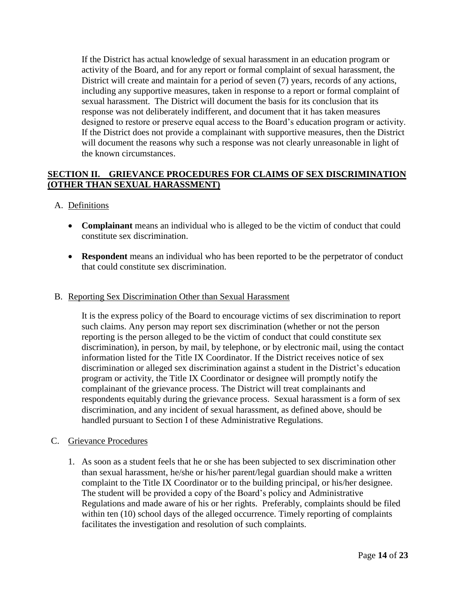If the District has actual knowledge of sexual harassment in an education program or activity of the Board, and for any report or formal complaint of sexual harassment, the District will create and maintain for a period of seven  $(7)$  years, records of any actions, including any supportive measures, taken in response to a report or formal complaint of sexual harassment. The District will document the basis for its conclusion that its response was not deliberately indifferent, and document that it has taken measures designed to restore or preserve equal access to the Board's education program or activity. If the District does not provide a complainant with supportive measures, then the District will document the reasons why such a response was not clearly unreasonable in light of the known circumstances.

## **SECTION II. GRIEVANCE PROCEDURES FOR CLAIMS OF SEX DISCRIMINATION (OTHER THAN SEXUAL HARASSMENT)**

## A. Definitions

- **Complainant** means an individual who is alleged to be the victim of conduct that could constitute sex discrimination.
- **Respondent** means an individual who has been reported to be the perpetrator of conduct that could constitute sex discrimination.

#### B. Reporting Sex Discrimination Other than Sexual Harassment

It is the express policy of the Board to encourage victims of sex discrimination to report such claims. Any person may report sex discrimination (whether or not the person reporting is the person alleged to be the victim of conduct that could constitute sex discrimination), in person, by mail, by telephone, or by electronic mail, using the contact information listed for the Title IX Coordinator. If the District receives notice of sex discrimination or alleged sex discrimination against a student in the District's education program or activity, the Title IX Coordinator or designee will promptly notify the complainant of the grievance process. The District will treat complainants and respondents equitably during the grievance process. Sexual harassment is a form of sex discrimination, and any incident of sexual harassment, as defined above, should be handled pursuant to Section I of these Administrative Regulations.

#### C. Grievance Procedures

1. As soon as a student feels that he or she has been subjected to sex discrimination other than sexual harassment, he/she or his/her parent/legal guardian should make a written complaint to the Title IX Coordinator or to the building principal, or his/her designee. The student will be provided a copy of the Board's policy and Administrative Regulations and made aware of his or her rights. Preferably, complaints should be filed within ten (10) school days of the alleged occurrence. Timely reporting of complaints facilitates the investigation and resolution of such complaints.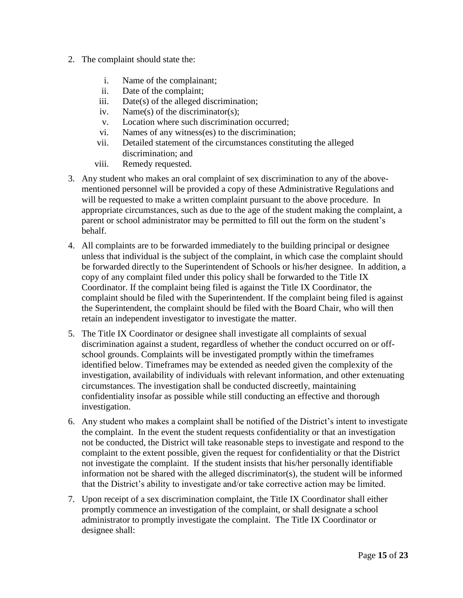- 2. The complaint should state the:
	- i. Name of the complainant;
	- ii. Date of the complaint;
	- iii. Date(s) of the alleged discrimination;
	- iv. Name(s) of the discriminator(s);
	- v. Location where such discrimination occurred;
	- vi. Names of any witness(es) to the discrimination;
	- vii. Detailed statement of the circumstances constituting the alleged discrimination; and
	- viii. Remedy requested.
- 3. Any student who makes an oral complaint of sex discrimination to any of the abovementioned personnel will be provided a copy of these Administrative Regulations and will be requested to make a written complaint pursuant to the above procedure. In appropriate circumstances, such as due to the age of the student making the complaint, a parent or school administrator may be permitted to fill out the form on the student's behalf.
- 4. All complaints are to be forwarded immediately to the building principal or designee unless that individual is the subject of the complaint, in which case the complaint should be forwarded directly to the Superintendent of Schools or his/her designee. In addition, a copy of any complaint filed under this policy shall be forwarded to the Title IX Coordinator. If the complaint being filed is against the Title IX Coordinator, the complaint should be filed with the Superintendent. If the complaint being filed is against the Superintendent, the complaint should be filed with the Board Chair, who will then retain an independent investigator to investigate the matter.
- 5. The Title IX Coordinator or designee shall investigate all complaints of sexual discrimination against a student, regardless of whether the conduct occurred on or offschool grounds. Complaints will be investigated promptly within the timeframes identified below. Timeframes may be extended as needed given the complexity of the investigation, availability of individuals with relevant information, and other extenuating circumstances. The investigation shall be conducted discreetly, maintaining confidentiality insofar as possible while still conducting an effective and thorough investigation.
- 6. Any student who makes a complaint shall be notified of the District's intent to investigate the complaint. In the event the student requests confidentiality or that an investigation not be conducted, the District will take reasonable steps to investigate and respond to the complaint to the extent possible, given the request for confidentiality or that the District not investigate the complaint. If the student insists that his/her personally identifiable information not be shared with the alleged discriminator(s), the student will be informed that the District's ability to investigate and/or take corrective action may be limited.
- 7. Upon receipt of a sex discrimination complaint, the Title IX Coordinator shall either promptly commence an investigation of the complaint, or shall designate a school administrator to promptly investigate the complaint. The Title IX Coordinator or designee shall: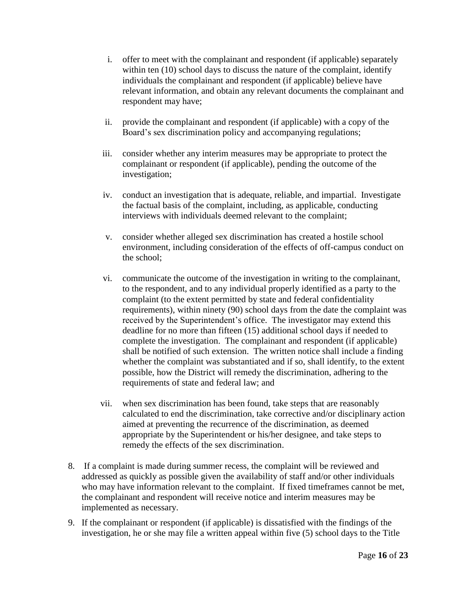- i. offer to meet with the complainant and respondent (if applicable) separately within ten (10) school days to discuss the nature of the complaint, identify individuals the complainant and respondent (if applicable) believe have relevant information, and obtain any relevant documents the complainant and respondent may have;
- ii. provide the complainant and respondent (if applicable) with a copy of the Board's sex discrimination policy and accompanying regulations;
- iii. consider whether any interim measures may be appropriate to protect the complainant or respondent (if applicable), pending the outcome of the investigation;
- iv. conduct an investigation that is adequate, reliable, and impartial. Investigate the factual basis of the complaint, including, as applicable, conducting interviews with individuals deemed relevant to the complaint;
- v. consider whether alleged sex discrimination has created a hostile school environment, including consideration of the effects of off-campus conduct on the school;
- vi. communicate the outcome of the investigation in writing to the complainant, to the respondent, and to any individual properly identified as a party to the complaint (to the extent permitted by state and federal confidentiality requirements), within ninety (90) school days from the date the complaint was received by the Superintendent's office. The investigator may extend this deadline for no more than fifteen (15) additional school days if needed to complete the investigation. The complainant and respondent (if applicable) shall be notified of such extension. The written notice shall include a finding whether the complaint was substantiated and if so, shall identify, to the extent possible, how the District will remedy the discrimination, adhering to the requirements of state and federal law; and
- vii. when sex discrimination has been found, take steps that are reasonably calculated to end the discrimination, take corrective and/or disciplinary action aimed at preventing the recurrence of the discrimination, as deemed appropriate by the Superintendent or his/her designee, and take steps to remedy the effects of the sex discrimination.
- 8. If a complaint is made during summer recess, the complaint will be reviewed and addressed as quickly as possible given the availability of staff and/or other individuals who may have information relevant to the complaint. If fixed timeframes cannot be met, the complainant and respondent will receive notice and interim measures may be implemented as necessary.
- 9. If the complainant or respondent (if applicable) is dissatisfied with the findings of the investigation, he or she may file a written appeal within five (5) school days to the Title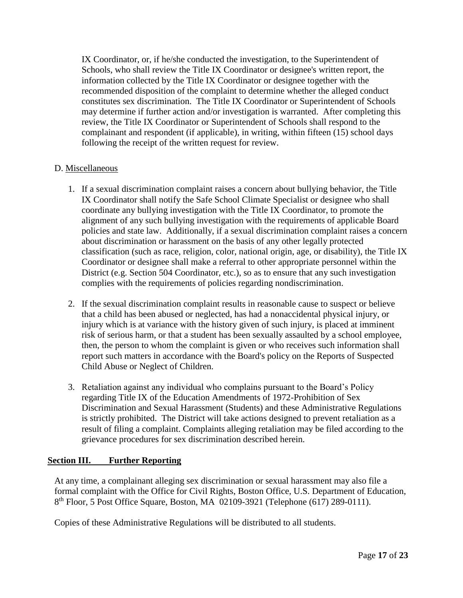IX Coordinator, or, if he/she conducted the investigation, to the Superintendent of Schools, who shall review the Title IX Coordinator or designee's written report, the information collected by the Title IX Coordinator or designee together with the recommended disposition of the complaint to determine whether the alleged conduct constitutes sex discrimination. The Title IX Coordinator or Superintendent of Schools may determine if further action and/or investigation is warranted. After completing this review, the Title IX Coordinator or Superintendent of Schools shall respond to the complainant and respondent (if applicable), in writing, within fifteen (15) school days following the receipt of the written request for review.

## D. Miscellaneous

- 1. If a sexual discrimination complaint raises a concern about bullying behavior, the Title IX Coordinator shall notify the Safe School Climate Specialist or designee who shall coordinate any bullying investigation with the Title IX Coordinator, to promote the alignment of any such bullying investigation with the requirements of applicable Board policies and state law. Additionally, if a sexual discrimination complaint raises a concern about discrimination or harassment on the basis of any other legally protected classification (such as race, religion, color, national origin, age, or disability), the Title IX Coordinator or designee shall make a referral to other appropriate personnel within the District (e.g. Section 504 Coordinator, etc.), so as to ensure that any such investigation complies with the requirements of policies regarding nondiscrimination.
- 2. If the sexual discrimination complaint results in reasonable cause to suspect or believe that a child has been abused or neglected, has had a nonaccidental physical injury, or injury which is at variance with the history given of such injury, is placed at imminent risk of serious harm, or that a student has been sexually assaulted by a school employee, then, the person to whom the complaint is given or who receives such information shall report such matters in accordance with the Board's policy on the Reports of Suspected Child Abuse or Neglect of Children.
- 3. Retaliation against any individual who complains pursuant to the Board's Policy regarding Title IX of the Education Amendments of 1972-Prohibition of Sex Discrimination and Sexual Harassment (Students) and these Administrative Regulations is strictly prohibited. The District will take actions designed to prevent retaliation as a result of filing a complaint. Complaints alleging retaliation may be filed according to the grievance procedures for sex discrimination described herein.

## **Section III. Further Reporting**

At any time, a complainant alleging sex discrimination or sexual harassment may also file a formal complaint with the Office for Civil Rights, Boston Office, U.S. Department of Education, 8<sup>th</sup> Floor, 5 Post Office Square, Boston, MA 02109-3921 (Telephone (617) 289-0111).

Copies of these Administrative Regulations will be distributed to all students.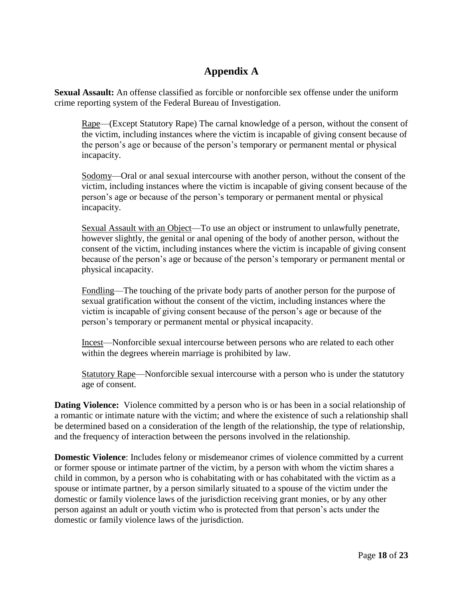# **Appendix A**

**Sexual Assault:** An offense classified as forcible or nonforcible sex offense under the uniform crime reporting system of the Federal Bureau of Investigation.

Rape—(Except Statutory Rape) The carnal knowledge of a person, without the consent of the victim, including instances where the victim is incapable of giving consent because of the person's age or because of the person's temporary or permanent mental or physical incapacity.

Sodomy—Oral or anal sexual intercourse with another person, without the consent of the victim, including instances where the victim is incapable of giving consent because of the person's age or because of the person's temporary or permanent mental or physical incapacity.

Sexual Assault with an Object—To use an object or instrument to unlawfully penetrate, however slightly, the genital or anal opening of the body of another person, without the consent of the victim, including instances where the victim is incapable of giving consent because of the person's age or because of the person's temporary or permanent mental or physical incapacity.

Fondling—The touching of the private body parts of another person for the purpose of sexual gratification without the consent of the victim, including instances where the victim is incapable of giving consent because of the person's age or because of the person's temporary or permanent mental or physical incapacity.

Incest—Nonforcible sexual intercourse between persons who are related to each other within the degrees wherein marriage is prohibited by law.

Statutory Rape—Nonforcible sexual intercourse with a person who is under the statutory age of consent.

**Dating Violence:** Violence committed by a person who is or has been in a social relationship of a romantic or intimate nature with the victim; and where the existence of such a relationship shall be determined based on a consideration of the length of the relationship, the type of relationship, and the frequency of interaction between the persons involved in the relationship.

**Domestic Violence**: Includes felony or misdemeanor crimes of violence committed by a current or former spouse or intimate partner of the victim, by a person with whom the victim shares a child in common, by a person who is cohabitating with or has cohabitated with the victim as a spouse or intimate partner, by a person similarly situated to a spouse of the victim under the domestic or family violence laws of the jurisdiction receiving grant monies, or by any other person against an adult or youth victim who is protected from that person's acts under the domestic or family violence laws of the jurisdiction.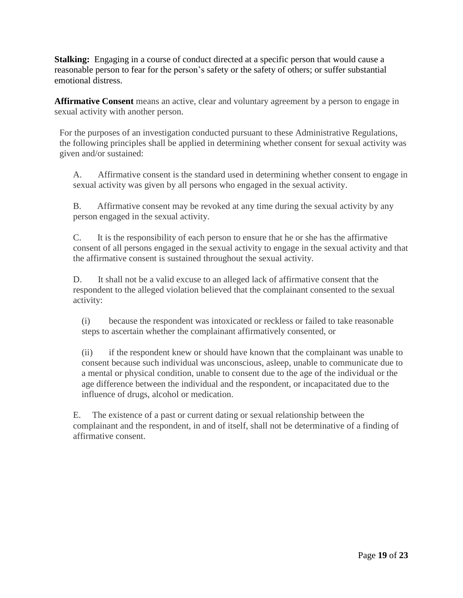**Stalking:** Engaging in a course of conduct directed at a specific person that would cause a reasonable person to fear for the person's safety or the safety of others; or suffer substantial emotional distress.

**Affirmative Consent** means an active, clear and voluntary agreement by a person to engage in sexual activity with another person.

For the purposes of an investigation conducted pursuant to these Administrative Regulations, the following principles shall be applied in determining whether consent for sexual activity was given and/or sustained:

A. Affirmative consent is the standard used in determining whether consent to engage in sexual activity was given by all persons who engaged in the sexual activity.

B. Affirmative consent may be revoked at any time during the sexual activity by any person engaged in the sexual activity.

C. It is the responsibility of each person to ensure that he or she has the affirmative consent of all persons engaged in the sexual activity to engage in the sexual activity and that the affirmative consent is sustained throughout the sexual activity.

D. It shall not be a valid excuse to an alleged lack of affirmative consent that the respondent to the alleged violation believed that the complainant consented to the sexual activity:

(i) because the respondent was intoxicated or reckless or failed to take reasonable steps to ascertain whether the complainant affirmatively consented, or

(ii) if the respondent knew or should have known that the complainant was unable to consent because such individual was unconscious, asleep, unable to communicate due to a mental or physical condition, unable to consent due to the age of the individual or the age difference between the individual and the respondent, or incapacitated due to the influence of drugs, alcohol or medication.

E. The existence of a past or current dating or sexual relationship between the complainant and the respondent, in and of itself, shall not be determinative of a finding of affirmative consent.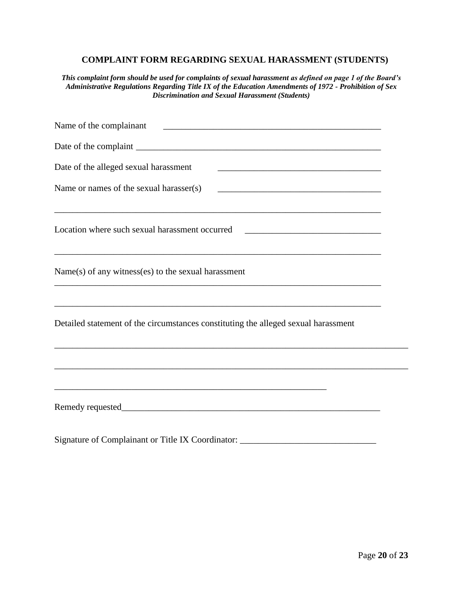## **COMPLAINT FORM REGARDING SEXUAL HARASSMENT (STUDENTS)**

*This complaint form should be used for complaints of sexual harassment as defined on page 1 of the Board's Administrative Regulations Regarding Title IX of the Education Amendments of 1972 - Prohibition of Sex Discrimination and Sexual Harassment (Students)*

| Date of the alleged sexual harassment<br><u> 1989 - Johann John Stein, mars an deus Amerikaansk kommunister (* 1950)</u>                                             |  |
|----------------------------------------------------------------------------------------------------------------------------------------------------------------------|--|
| Name or names of the sexual harasser(s)                                                                                                                              |  |
| ,我们也不会有什么。""我们的人,我们也不会有什么?""我们的人,我们也不会有什么?""我们的人,我们也不会有什么?""我们的人,我们也不会有什么?""我们的人<br>Location where such sexual harassment occurred _________________________________ |  |
| $Name(s)$ of any witness(es) to the sexual harassment                                                                                                                |  |
| Detailed statement of the circumstances constituting the alleged sexual harassment                                                                                   |  |
| ,我们也不能在这里的时候,我们也不能在这里的时候,我们也不能会在这里的时候,我们也不能会在这里的时候,我们也不能会在这里的时候,我们也不能会在这里的时候,我们也不                                                                                    |  |
|                                                                                                                                                                      |  |
| Signature of Complainant or Title IX Coordinator:                                                                                                                    |  |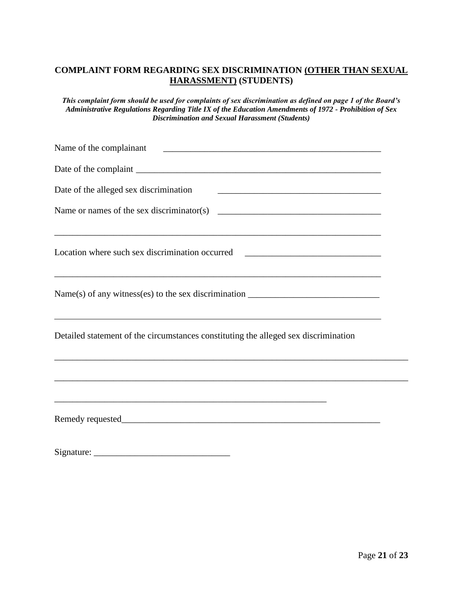## **COMPLAINT FORM REGARDING SEX DISCRIMINATION (OTHER THAN SEXUAL HARASSMENT) (STUDENTS)**

*This complaint form should be used for complaints of sex discrimination as defined on page 1 of the Board's Administrative Regulations Regarding Title IX of the Education Amendments of 1972 - Prohibition of Sex Discrimination and Sexual Harassment (Students)*

| Name of the complainant<br><u> 1989 - Johann Harry Harry Harry Harry Harry Harry Harry Harry Harry Harry Harry Harry Harry Harry Harry Harry</u> |  |
|--------------------------------------------------------------------------------------------------------------------------------------------------|--|
|                                                                                                                                                  |  |
| Date of the alleged sex discrimination<br><u> 1989 - Johann Barbara, martxa al III-lea (h. 1989).</u>                                            |  |
|                                                                                                                                                  |  |
| Location where such sex discrimination occurred ________________________________                                                                 |  |
| ,我们也不会有一个人的人,我们也不会有一个人的人,我们也不会有一个人的人,我们也不会有一个人的人,我们也不会有一个人的人。""我们的人,我们也不会有一个人的人,我                                                                |  |
| Detailed statement of the circumstances constituting the alleged sex discrimination                                                              |  |
|                                                                                                                                                  |  |
|                                                                                                                                                  |  |

 $Signature:$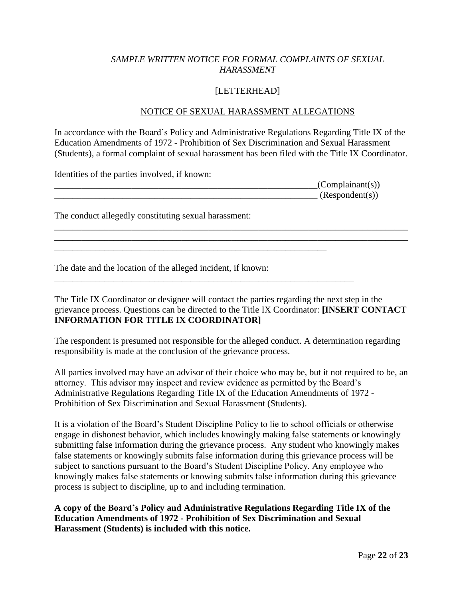## *SAMPLE WRITTEN NOTICE FOR FORMAL COMPLAINTS OF SEXUAL HARASSMENT*

## [LETTERHEAD]

#### NOTICE OF SEXUAL HARASSMENT ALLEGATIONS

In accordance with the Board's Policy and Administrative Regulations Regarding Title IX of the Education Amendments of 1972 - Prohibition of Sex Discrimination and Sexual Harassment (Students), a formal complaint of sexual harassment has been filed with the Title IX Coordinator.

\_\_\_\_\_\_\_\_\_\_\_\_\_\_\_\_\_\_\_\_\_\_\_\_\_\_\_\_\_\_\_\_\_\_\_\_\_\_\_\_\_\_\_\_\_\_\_\_\_\_\_\_\_\_\_\_\_\_\_\_\_\_\_\_\_\_\_\_\_\_\_\_\_\_\_\_\_\_ \_\_\_\_\_\_\_\_\_\_\_\_\_\_\_\_\_\_\_\_\_\_\_\_\_\_\_\_\_\_\_\_\_\_\_\_\_\_\_\_\_\_\_\_\_\_\_\_\_\_\_\_\_\_\_\_\_\_\_\_\_\_\_\_\_\_\_\_\_\_\_\_\_\_\_\_\_\_

Identities of the parties involved, if known:

| (Complainant(s)) |
|------------------|
| (Respondent(s))  |

The conduct allegedly constituting sexual harassment:

The date and the location of the alleged incident, if known:

\_\_\_\_\_\_\_\_\_\_\_\_\_\_\_\_\_\_\_\_\_\_\_\_\_\_\_\_\_\_\_\_\_\_\_\_\_\_\_\_\_\_\_\_\_\_\_\_\_\_\_\_\_\_\_\_\_\_\_\_

\_\_\_\_\_\_\_\_\_\_\_\_\_\_\_\_\_\_\_\_\_\_\_\_\_\_\_\_\_\_\_\_\_\_\_\_\_\_\_\_\_\_\_\_\_\_\_\_\_\_\_\_\_\_\_\_\_\_\_\_\_\_\_\_\_\_

The Title IX Coordinator or designee will contact the parties regarding the next step in the grievance process. Questions can be directed to the Title IX Coordinator: **[INSERT CONTACT INFORMATION FOR TITLE IX COORDINATOR]**

The respondent is presumed not responsible for the alleged conduct. A determination regarding responsibility is made at the conclusion of the grievance process.

All parties involved may have an advisor of their choice who may be, but it not required to be, an attorney. This advisor may inspect and review evidence as permitted by the Board's Administrative Regulations Regarding Title IX of the Education Amendments of 1972 - Prohibition of Sex Discrimination and Sexual Harassment (Students).

It is a violation of the Board's Student Discipline Policy to lie to school officials or otherwise engage in dishonest behavior, which includes knowingly making false statements or knowingly submitting false information during the grievance process. Any student who knowingly makes false statements or knowingly submits false information during this grievance process will be subject to sanctions pursuant to the Board's Student Discipline Policy. Any employee who knowingly makes false statements or knowing submits false information during this grievance process is subject to discipline, up to and including termination.

**A copy of the Board's Policy and Administrative Regulations Regarding Title IX of the Education Amendments of 1972 - Prohibition of Sex Discrimination and Sexual Harassment (Students) is included with this notice.**